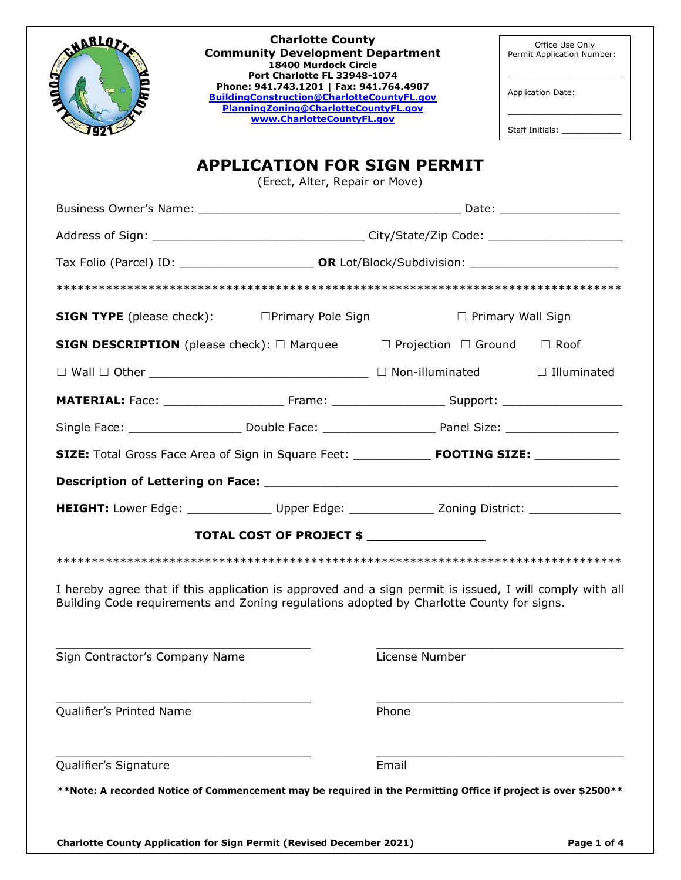| <b>CHARLOT</b><br>Ann J        | <b>Charlotte County</b><br><b>Community Development Department</b><br>18400 Murdock Circle<br>Port Charlotte FL 33948-1074<br>Phone: 941.743.1201   Fax: 941.764.4907<br>BuildingConstruction@CharlotteCountyFL.gov<br>PlanningZoning@CharlotteCountyFL.gov<br>www.CharlotteCountyFL.gov |                | Office Use Only<br>Permit Application Number:<br><b>Application Date:</b><br>Staff Initials: ______________ |
|--------------------------------|------------------------------------------------------------------------------------------------------------------------------------------------------------------------------------------------------------------------------------------------------------------------------------------|----------------|-------------------------------------------------------------------------------------------------------------|
|                                | <b>APPLICATION FOR SIGN PERMIT</b>                                                                                                                                                                                                                                                       |                |                                                                                                             |
|                                | (Erect, Alter, Repair or Move)                                                                                                                                                                                                                                                           |                |                                                                                                             |
|                                |                                                                                                                                                                                                                                                                                          |                |                                                                                                             |
|                                |                                                                                                                                                                                                                                                                                          |                |                                                                                                             |
|                                |                                                                                                                                                                                                                                                                                          |                |                                                                                                             |
|                                | <b>SIGN TYPE</b> (please check): □ Primary Pole Sign                                                                                                                                                                                                                                     |                | $\Box$ Primary Wall Sign                                                                                    |
|                                | <b>SIGN DESCRIPTION</b> (please check): □ Marquee □ Projection □ Ground □ Roof                                                                                                                                                                                                           |                |                                                                                                             |
|                                |                                                                                                                                                                                                                                                                                          |                | $\Box$ Illuminated                                                                                          |
|                                |                                                                                                                                                                                                                                                                                          |                |                                                                                                             |
|                                |                                                                                                                                                                                                                                                                                          |                |                                                                                                             |
|                                |                                                                                                                                                                                                                                                                                          |                |                                                                                                             |
|                                |                                                                                                                                                                                                                                                                                          |                |                                                                                                             |
|                                | HEIGHT: Lower Edge: _________________ Upper Edge: _______________ Zoning District: ________________                                                                                                                                                                                      |                |                                                                                                             |
|                                | TOTAL COST OF PROJECT \$                                                                                                                                                                                                                                                                 |                |                                                                                                             |
|                                |                                                                                                                                                                                                                                                                                          |                |                                                                                                             |
|                                | I hereby agree that if this application is approved and a sign permit is issued, I will comply with all<br>Building Code requirements and Zoning regulations adopted by Charlotte County for signs.                                                                                      |                |                                                                                                             |
| Sign Contractor's Company Name |                                                                                                                                                                                                                                                                                          | License Number |                                                                                                             |
| Qualifier's Printed Name       |                                                                                                                                                                                                                                                                                          | Phone          |                                                                                                             |
|                                |                                                                                                                                                                                                                                                                                          |                |                                                                                                             |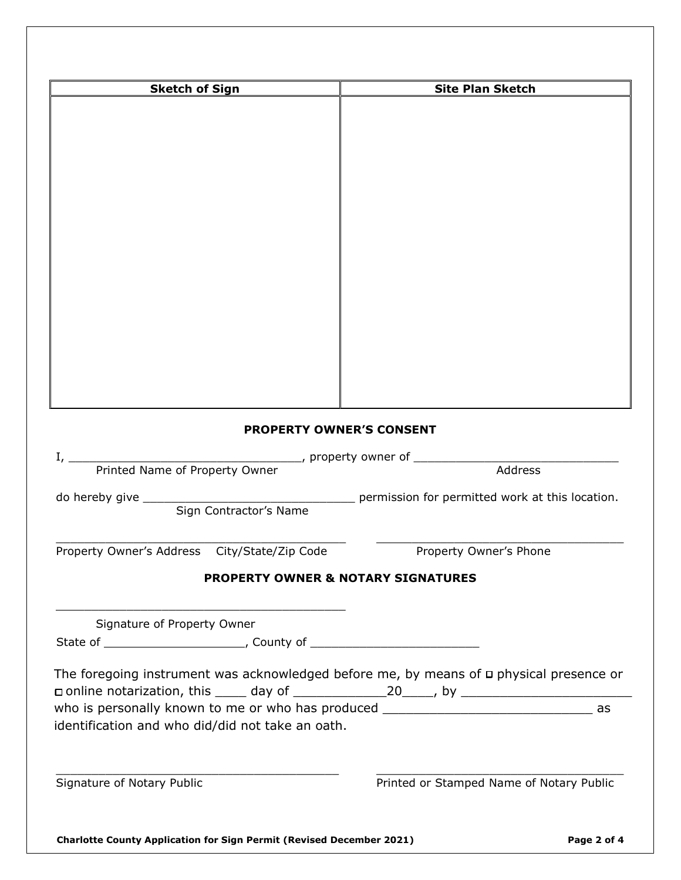| <b>Sketch of Sign</b>                                                                        | <b>Site Plan Sketch</b>                         |
|----------------------------------------------------------------------------------------------|-------------------------------------------------|
|                                                                                              |                                                 |
|                                                                                              |                                                 |
|                                                                                              |                                                 |
|                                                                                              |                                                 |
|                                                                                              |                                                 |
|                                                                                              |                                                 |
|                                                                                              |                                                 |
|                                                                                              |                                                 |
|                                                                                              |                                                 |
|                                                                                              |                                                 |
|                                                                                              |                                                 |
|                                                                                              |                                                 |
|                                                                                              |                                                 |
|                                                                                              |                                                 |
|                                                                                              |                                                 |
|                                                                                              |                                                 |
| <b>PROPERTY OWNER'S CONSENT</b>                                                              |                                                 |
|                                                                                              |                                                 |
| Printed Name of Property Owner                                                               | Address                                         |
| do hereby give _____                                                                         | permission for permitted work at this location. |
| Sign Contractor's Name                                                                       |                                                 |
| Property Owner's Address City/State/Zip Code                                                 | Property Owner's Phone                          |
| <b>PROPERTY OWNER &amp; NOTARY SIGNATURES</b>                                                |                                                 |
|                                                                                              |                                                 |
| Signature of Property Owner                                                                  |                                                 |
|                                                                                              |                                                 |
|                                                                                              |                                                 |
| The foregoing instrument was acknowledged before me, by means of $\Box$ physical presence or |                                                 |
| who is personally known to me or who has produced _______________________________ as         |                                                 |
| identification and who did/did not take an oath.                                             |                                                 |
|                                                                                              |                                                 |
|                                                                                              |                                                 |
| Signature of Notary Public                                                                   | Printed or Stamped Name of Notary Public        |
|                                                                                              |                                                 |
|                                                                                              |                                                 |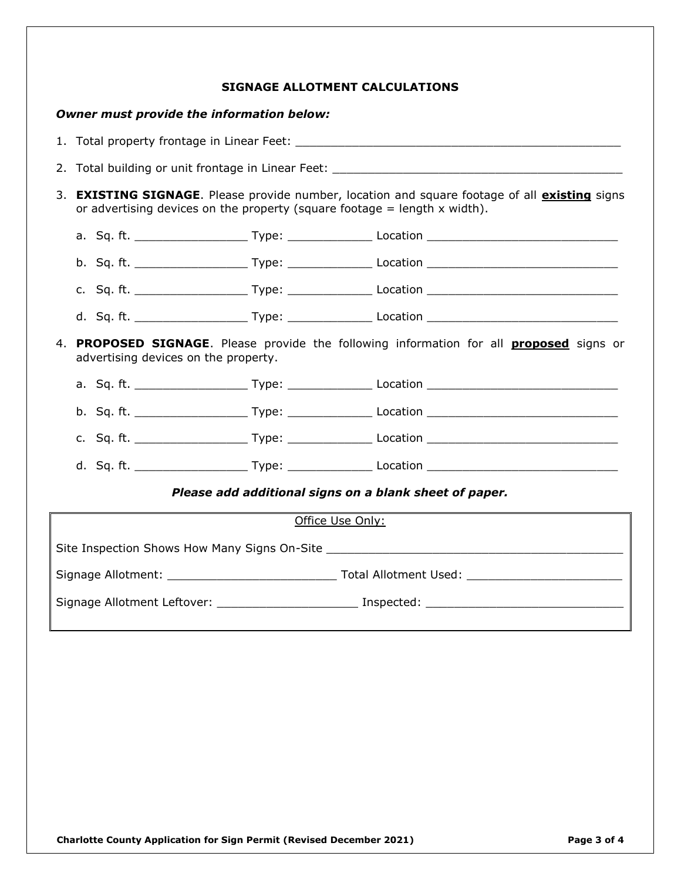|  | SIGNAGE ALLOTMENT CALCULATIONS |
|--|--------------------------------|
|  |                                |

## *Owner must provide the information below:*

|                                                                                                                                        | 3. EXISTING SIGNAGE. Please provide number, location and square footage of all existing signs<br>or advertising devices on the property (square footage = length $x$ width). |                             |                                                                                           |                                                                                                      |  |
|----------------------------------------------------------------------------------------------------------------------------------------|------------------------------------------------------------------------------------------------------------------------------------------------------------------------------|-----------------------------|-------------------------------------------------------------------------------------------|------------------------------------------------------------------------------------------------------|--|
|                                                                                                                                        |                                                                                                                                                                              |                             |                                                                                           |                                                                                                      |  |
|                                                                                                                                        |                                                                                                                                                                              |                             |                                                                                           |                                                                                                      |  |
|                                                                                                                                        |                                                                                                                                                                              |                             |                                                                                           |                                                                                                      |  |
|                                                                                                                                        |                                                                                                                                                                              |                             |                                                                                           | d. Sq. ft. _______________________Type: ___________________Location ________________________________ |  |
| 4. PROPOSED SIGNAGE. Please provide the following information for all <b>proposed</b> signs or<br>advertising devices on the property. |                                                                                                                                                                              |                             |                                                                                           |                                                                                                      |  |
|                                                                                                                                        |                                                                                                                                                                              |                             |                                                                                           |                                                                                                      |  |
|                                                                                                                                        |                                                                                                                                                                              |                             |                                                                                           | b. Sq. ft. ________________________Type: ___________________Location _______________________________ |  |
|                                                                                                                                        |                                                                                                                                                                              |                             |                                                                                           |                                                                                                      |  |
|                                                                                                                                        |                                                                                                                                                                              |                             |                                                                                           |                                                                                                      |  |
| Please add additional signs on a blank sheet of paper.                                                                                 |                                                                                                                                                                              |                             |                                                                                           |                                                                                                      |  |
|                                                                                                                                        |                                                                                                                                                                              |                             |                                                                                           | Office Use Only:                                                                                     |  |
|                                                                                                                                        |                                                                                                                                                                              |                             |                                                                                           |                                                                                                      |  |
|                                                                                                                                        |                                                                                                                                                                              |                             |                                                                                           |                                                                                                      |  |
|                                                                                                                                        |                                                                                                                                                                              | Signage Allotment Leftover: | the control of the control of the control of the control of the control of the control of |                                                                                                      |  |